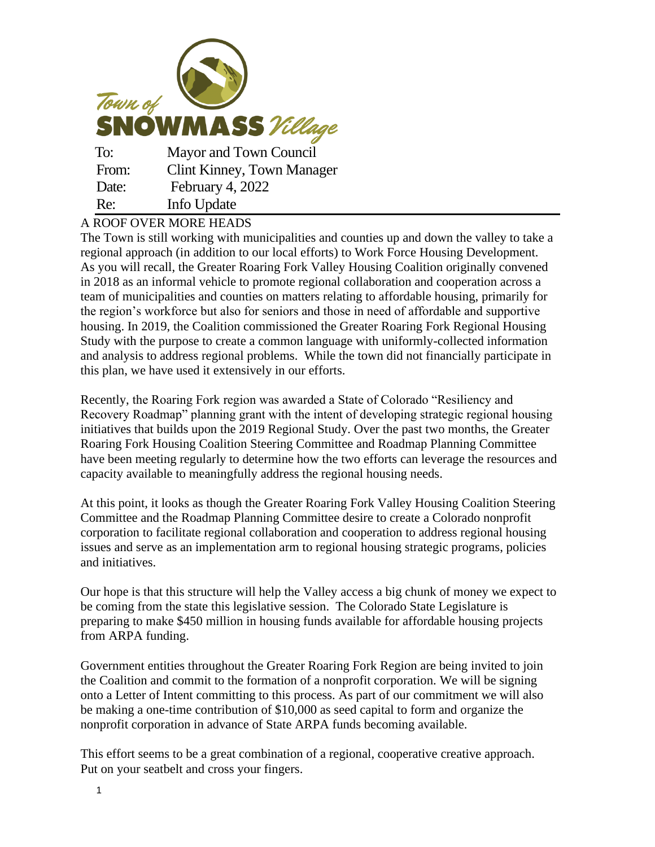

## A ROOF OVER MORE HEADS

The Town is still working with municipalities and counties up and down the valley to take a regional approach (in addition to our local efforts) to Work Force Housing Development. As you will recall, the Greater Roaring Fork Valley Housing Coalition originally convened in 2018 as an informal vehicle to promote regional collaboration and cooperation across a team of municipalities and counties on matters relating to affordable housing, primarily for the region's workforce but also for seniors and those in need of affordable and supportive housing. In 2019, the Coalition commissioned the Greater Roaring Fork Regional Housing Study with the purpose to create a common language with uniformly-collected information and analysis to address regional problems. While the town did not financially participate in this plan, we have used it extensively in our efforts.

Recently, the Roaring Fork region was awarded a State of Colorado "Resiliency and Recovery Roadmap" planning grant with the intent of developing strategic regional housing initiatives that builds upon the 2019 Regional Study. Over the past two months, the Greater Roaring Fork Housing Coalition Steering Committee and Roadmap Planning Committee have been meeting regularly to determine how the two efforts can leverage the resources and capacity available to meaningfully address the regional housing needs.

At this point, it looks as though the Greater Roaring Fork Valley Housing Coalition Steering Committee and the Roadmap Planning Committee desire to create a Colorado nonprofit corporation to facilitate regional collaboration and cooperation to address regional housing issues and serve as an implementation arm to regional housing strategic programs, policies and initiatives.

Our hope is that this structure will help the Valley access a big chunk of money we expect to be coming from the state this legislative session. The Colorado State Legislature is preparing to make \$450 million in housing funds available for affordable housing projects from ARPA funding.

Government entities throughout the Greater Roaring Fork Region are being invited to join the Coalition and commit to the formation of a nonprofit corporation. We will be signing onto a Letter of Intent committing to this process. As part of our commitment we will also be making a one-time contribution of \$10,000 as seed capital to form and organize the nonprofit corporation in advance of State ARPA funds becoming available.

This effort seems to be a great combination of a regional, cooperative creative approach. Put on your seatbelt and cross your fingers.